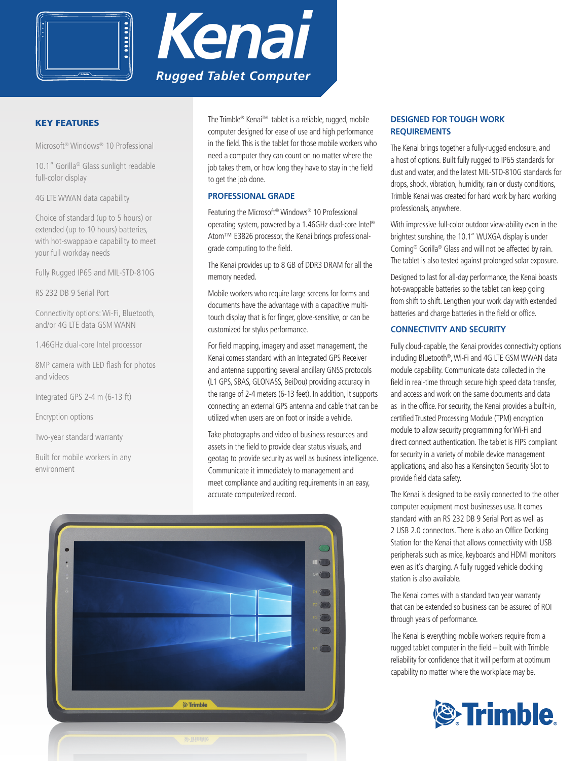



# KEY FEATURES

Microsoft® Windows® 10 Professional

10.1" Gorilla® Glass sunlight readable full-color display

4G LTE WWAN data capability

Choice of standard (up to 5 hours) or extended (up to 10 hours) batteries, with hot-swappable capability to meet your full workday needs

Fully Rugged IP65 and MIL-STD-810G

RS 232 DB 9 Serial Port

Connectivity options: Wi-Fi, Bluetooth, and/or 4G LTE data GSM WANN

1.46GHz dual-core Intel processor

8MP camera with LED flash for photos and videos

Integrated GPS 2-4 m (6-13 ft)

Encryption options

Two-year standard warranty

Built for mobile workers in any environment

The Trimble® Kenai™ tablet is a reliable, rugged, mobile computer designed for ease of use and high performance in the field. This is the tablet for those mobile workers who need a computer they can count on no matter where the job takes them, or how long they have to stay in the field to get the job done.

# **PROFESSIONAL GRADE**

Featuring the Microsoft® Windows® 10 Professional operating system, powered by a 1.46GHz dual-core Intel® Atom™ E3826 processor, the Kenai brings professionalgrade computing to the field.

The Kenai provides up to 8 GB of DDR3 DRAM for all the memory needed.

Mobile workers who require large screens for forms and documents have the advantage with a capacitive multitouch display that is for finger, glove-sensitive, or can be customized for stylus performance.

For field mapping, imagery and asset management, the Kenai comes standard with an Integrated GPS Receiver and antenna supporting several ancillary GNSS protocols (L1 GPS, SBAS, GLONASS, BeiDou) providing accuracy in the range of 2-4 meters (6-13 feet). In addition, it supports connecting an external GPS antenna and cable that can be utilized when users are on foot or inside a vehicle.

Take photographs and video of business resources and assets in the field to provide clear status visuals, and geotag to provide security as well as business intelligence. Communicate it immediately to management and meet compliance and auditing requirements in an easy, accurate computerized record.



# **DESIGNED FOR TOUGH WORK REQUIREMENTS**

The Kenai brings together a fully-rugged enclosure, and a host of options. Built fully rugged to IP65 standards for dust and water, and the latest MIL-STD-810G standards for drops, shock, vibration, humidity, rain or dusty conditions, Trimble Kenai was created for hard work by hard working professionals, anywhere.

With impressive full-color outdoor view-ability even in the brightest sunshine, the 10.1" WUXGA display is under Corning® Gorilla® Glass and will not be affected by rain. The tablet is also tested against prolonged solar exposure.

Designed to last for all-day performance, the Kenai boasts hot-swappable batteries so the tablet can keep going from shift to shift. Lengthen your work day with extended batteries and charge batteries in the field or office.

# **CONNECTIVITY AND SECURITY**

Fully cloud-capable, the Kenai provides connectivity options including Bluetooth®, Wi-Fi and 4G LTE GSM WWAN data module capability. Communicate data collected in the field in real-time through secure high speed data transfer, and access and work on the same documents and data as in the office. For security, the Kenai provides a built-in, certified Trusted Processing Module (TPM) encryption module to allow security programming for Wi-Fi and direct connect authentication. The tablet is FIPS compliant for security in a variety of mobile device management applications, and also has a Kensington Security Slot to provide field data safety.

The Kenai is designed to be easily connected to the other computer equipment most businesses use. It comes standard with an RS 232 DB 9 Serial Port as well as 2 USB 2.0 connectors. There is also an Office Docking Station for the Kenai that allows connectivity with USB peripherals such as mice, keyboards and HDMI monitors even as it's charging. A fully rugged vehicle docking station is also available.

The Kenai comes with a standard two year warranty that can be extended so business can be assured of ROI through years of performance.

The Kenai is everything mobile workers require from a rugged tablet computer in the field – built with Trimble reliability for confidence that it will perform at optimum capability no matter where the workplace may be.